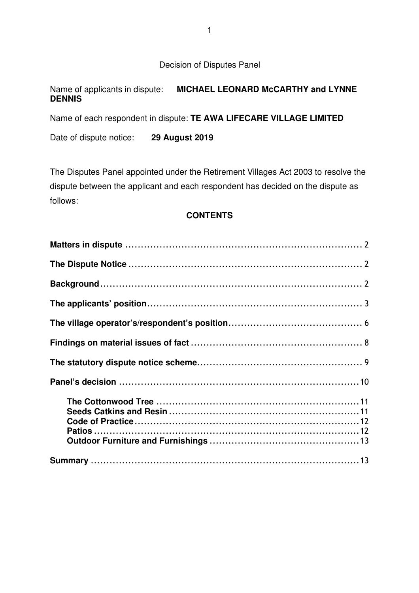Decision of Disputes Panel

# Name of applicants in dispute: **MICHAEL LEONARD McCARTHY and LYNNE DENNIS**

Name of each respondent in dispute: **TE AWA LIFECARE VILLAGE LIMITED** 

Date of dispute notice: **29 August 2019**

The Disputes Panel appointed under the Retirement Villages Act 2003 to resolve the dispute between the applicant and each respondent has decided on the dispute as follows:

## **CONTENTS**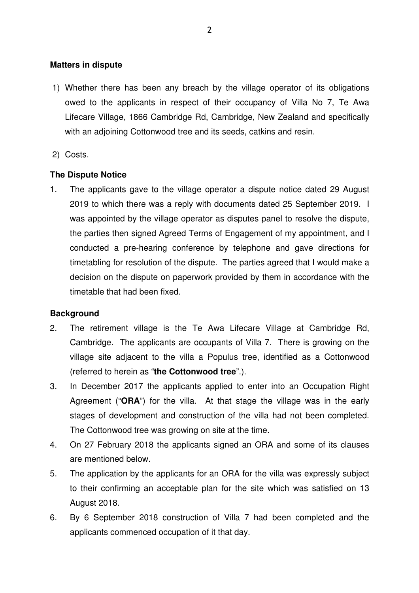### **Matters in dispute**

- 1) Whether there has been any breach by the village operator of its obligations owed to the applicants in respect of their occupancy of Villa No 7, Te Awa Lifecare Village, 1866 Cambridge Rd, Cambridge, New Zealand and specifically with an adjoining Cottonwood tree and its seeds, catkins and resin.
- 2) Costs.

## **The Dispute Notice**

1. The applicants gave to the village operator a dispute notice dated 29 August 2019 to which there was a reply with documents dated 25 September 2019. I was appointed by the village operator as disputes panel to resolve the dispute, the parties then signed Agreed Terms of Engagement of my appointment, and I conducted a pre-hearing conference by telephone and gave directions for timetabling for resolution of the dispute. The parties agreed that I would make a decision on the dispute on paperwork provided by them in accordance with the timetable that had been fixed.

## **Background**

- 2. The retirement village is the Te Awa Lifecare Village at Cambridge Rd, Cambridge. The applicants are occupants of Villa 7. There is growing on the village site adjacent to the villa a Populus tree, identified as a Cottonwood (referred to herein as "**the Cottonwood tree**".).
- 3. In December 2017 the applicants applied to enter into an Occupation Right Agreement ("**ORA**") for the villa. At that stage the village was in the early stages of development and construction of the villa had not been completed. The Cottonwood tree was growing on site at the time.
- 4. On 27 February 2018 the applicants signed an ORA and some of its clauses are mentioned below.
- 5. The application by the applicants for an ORA for the villa was expressly subject to their confirming an acceptable plan for the site which was satisfied on 13 August 2018.
- 6. By 6 September 2018 construction of Villa 7 had been completed and the applicants commenced occupation of it that day.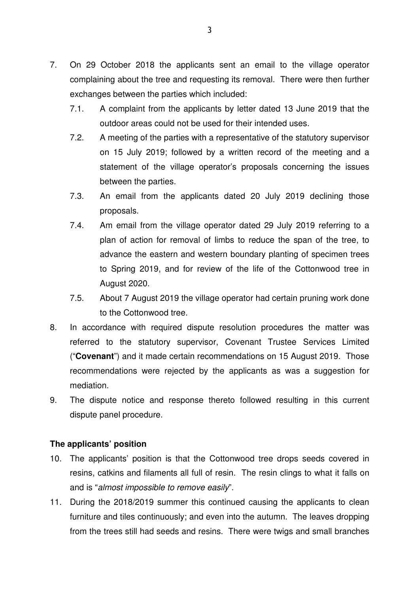- 7. On 29 October 2018 the applicants sent an email to the village operator complaining about the tree and requesting its removal. There were then further exchanges between the parties which included:
	- 7.1. A complaint from the applicants by letter dated 13 June 2019 that the outdoor areas could not be used for their intended uses.
	- 7.2. A meeting of the parties with a representative of the statutory supervisor on 15 July 2019; followed by a written record of the meeting and a statement of the village operator's proposals concerning the issues between the parties.
	- 7.3. An email from the applicants dated 20 July 2019 declining those proposals.
	- 7.4. Am email from the village operator dated 29 July 2019 referring to a plan of action for removal of limbs to reduce the span of the tree, to advance the eastern and western boundary planting of specimen trees to Spring 2019, and for review of the life of the Cottonwood tree in August 2020.
	- 7.5. About 7 August 2019 the village operator had certain pruning work done to the Cottonwood tree.
- 8. In accordance with required dispute resolution procedures the matter was referred to the statutory supervisor, Covenant Trustee Services Limited ("**Covenant**") and it made certain recommendations on 15 August 2019. Those recommendations were rejected by the applicants as was a suggestion for mediation.
- 9. The dispute notice and response thereto followed resulting in this current dispute panel procedure.

## **The applicants' position**

- 10. The applicants' position is that the Cottonwood tree drops seeds covered in resins, catkins and filaments all full of resin. The resin clings to what it falls on and is "almost impossible to remove easily".
- 11. During the 2018/2019 summer this continued causing the applicants to clean furniture and tiles continuously; and even into the autumn. The leaves dropping from the trees still had seeds and resins. There were twigs and small branches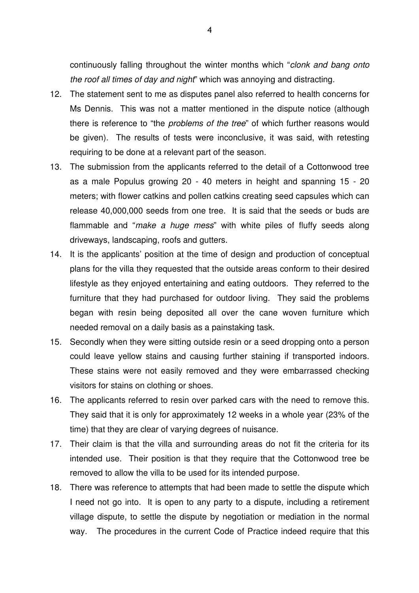continuously falling throughout the winter months which "clonk and bang onto the roof all times of day and night" which was annoying and distracting.

- 12. The statement sent to me as disputes panel also referred to health concerns for Ms Dennis. This was not a matter mentioned in the dispute notice (although there is reference to "the problems of the tree" of which further reasons would be given). The results of tests were inconclusive, it was said, with retesting requiring to be done at a relevant part of the season.
- 13. The submission from the applicants referred to the detail of a Cottonwood tree as a male Populus growing 20 - 40 meters in height and spanning 15 - 20 meters; with flower catkins and pollen catkins creating seed capsules which can release 40,000,000 seeds from one tree. It is said that the seeds or buds are flammable and "make a huge mess" with white piles of fluffy seeds along driveways, landscaping, roofs and gutters.
- 14. It is the applicants' position at the time of design and production of conceptual plans for the villa they requested that the outside areas conform to their desired lifestyle as they enjoyed entertaining and eating outdoors. They referred to the furniture that they had purchased for outdoor living. They said the problems began with resin being deposited all over the cane woven furniture which needed removal on a daily basis as a painstaking task.
- 15. Secondly when they were sitting outside resin or a seed dropping onto a person could leave yellow stains and causing further staining if transported indoors. These stains were not easily removed and they were embarrassed checking visitors for stains on clothing or shoes.
- 16. The applicants referred to resin over parked cars with the need to remove this. They said that it is only for approximately 12 weeks in a whole year (23% of the time) that they are clear of varying degrees of nuisance.
- 17. Their claim is that the villa and surrounding areas do not fit the criteria for its intended use. Their position is that they require that the Cottonwood tree be removed to allow the villa to be used for its intended purpose.
- 18. There was reference to attempts that had been made to settle the dispute which I need not go into. It is open to any party to a dispute, including a retirement village dispute, to settle the dispute by negotiation or mediation in the normal way. The procedures in the current Code of Practice indeed require that this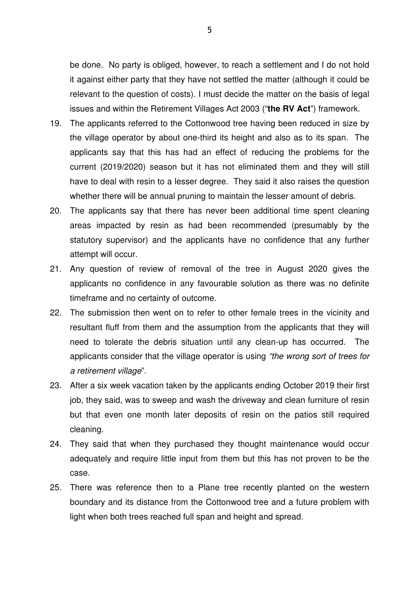be done. No party is obliged, however, to reach a settlement and I do not hold it against either party that they have not settled the matter (although it could be relevant to the question of costs). I must decide the matter on the basis of legal issues and within the Retirement Villages Act 2003 ("**the RV Act**") framework.

- 19. The applicants referred to the Cottonwood tree having been reduced in size by the village operator by about one-third its height and also as to its span. The applicants say that this has had an effect of reducing the problems for the current (2019/2020) season but it has not eliminated them and they will still have to deal with resin to a lesser degree. They said it also raises the question whether there will be annual pruning to maintain the lesser amount of debris.
- 20. The applicants say that there has never been additional time spent cleaning areas impacted by resin as had been recommended (presumably by the statutory supervisor) and the applicants have no confidence that any further attempt will occur.
- 21. Any question of review of removal of the tree in August 2020 gives the applicants no confidence in any favourable solution as there was no definite timeframe and no certainty of outcome.
- 22. The submission then went on to refer to other female trees in the vicinity and resultant fluff from them and the assumption from the applicants that they will need to tolerate the debris situation until any clean-up has occurred. The applicants consider that the village operator is using "the wrong sort of trees for a retirement village".
- 23. After a six week vacation taken by the applicants ending October 2019 their first job, they said, was to sweep and wash the driveway and clean furniture of resin but that even one month later deposits of resin on the patios still required cleaning.
- 24. They said that when they purchased they thought maintenance would occur adequately and require little input from them but this has not proven to be the case.
- 25. There was reference then to a Plane tree recently planted on the western boundary and its distance from the Cottonwood tree and a future problem with light when both trees reached full span and height and spread.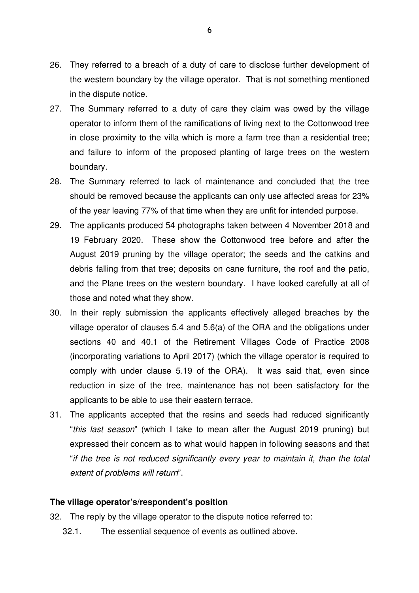- 26. They referred to a breach of a duty of care to disclose further development of the western boundary by the village operator. That is not something mentioned in the dispute notice.
- 27. The Summary referred to a duty of care they claim was owed by the village operator to inform them of the ramifications of living next to the Cottonwood tree in close proximity to the villa which is more a farm tree than a residential tree; and failure to inform of the proposed planting of large trees on the western boundary.
- 28. The Summary referred to lack of maintenance and concluded that the tree should be removed because the applicants can only use affected areas for 23% of the year leaving 77% of that time when they are unfit for intended purpose.
- 29. The applicants produced 54 photographs taken between 4 November 2018 and 19 February 2020. These show the Cottonwood tree before and after the August 2019 pruning by the village operator; the seeds and the catkins and debris falling from that tree; deposits on cane furniture, the roof and the patio, and the Plane trees on the western boundary. I have looked carefully at all of those and noted what they show.
- 30. In their reply submission the applicants effectively alleged breaches by the village operator of clauses 5.4 and 5.6(a) of the ORA and the obligations under sections 40 and 40.1 of the Retirement Villages Code of Practice 2008 (incorporating variations to April 2017) (which the village operator is required to comply with under clause 5.19 of the ORA). It was said that, even since reduction in size of the tree, maintenance has not been satisfactory for the applicants to be able to use their eastern terrace.
- 31. The applicants accepted that the resins and seeds had reduced significantly "this last season" (which I take to mean after the August 2019 pruning) but expressed their concern as to what would happen in following seasons and that "if the tree is not reduced significantly every year to maintain it, than the total extent of problems will return".

## **The village operator's/respondent's position**

- 32. The reply by the village operator to the dispute notice referred to:
	- 32.1. The essential sequence of events as outlined above.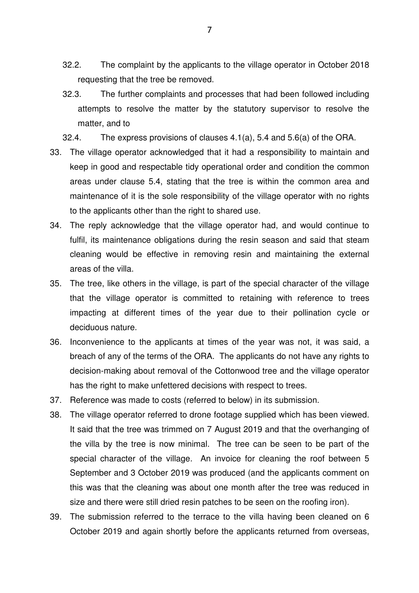- 32.2. The complaint by the applicants to the village operator in October 2018 requesting that the tree be removed.
- 32.3. The further complaints and processes that had been followed including attempts to resolve the matter by the statutory supervisor to resolve the matter, and to
- 32.4. The express provisions of clauses 4.1(a), 5.4 and 5.6(a) of the ORA.
- 33. The village operator acknowledged that it had a responsibility to maintain and keep in good and respectable tidy operational order and condition the common areas under clause 5.4, stating that the tree is within the common area and maintenance of it is the sole responsibility of the village operator with no rights to the applicants other than the right to shared use.
- 34. The reply acknowledge that the village operator had, and would continue to fulfil, its maintenance obligations during the resin season and said that steam cleaning would be effective in removing resin and maintaining the external areas of the villa.
- 35. The tree, like others in the village, is part of the special character of the village that the village operator is committed to retaining with reference to trees impacting at different times of the year due to their pollination cycle or deciduous nature.
- 36. Inconvenience to the applicants at times of the year was not, it was said, a breach of any of the terms of the ORA. The applicants do not have any rights to decision-making about removal of the Cottonwood tree and the village operator has the right to make unfettered decisions with respect to trees.
- 37. Reference was made to costs (referred to below) in its submission.
- 38. The village operator referred to drone footage supplied which has been viewed. It said that the tree was trimmed on 7 August 2019 and that the overhanging of the villa by the tree is now minimal. The tree can be seen to be part of the special character of the village. An invoice for cleaning the roof between 5 September and 3 October 2019 was produced (and the applicants comment on this was that the cleaning was about one month after the tree was reduced in size and there were still dried resin patches to be seen on the roofing iron).
- 39. The submission referred to the terrace to the villa having been cleaned on 6 October 2019 and again shortly before the applicants returned from overseas,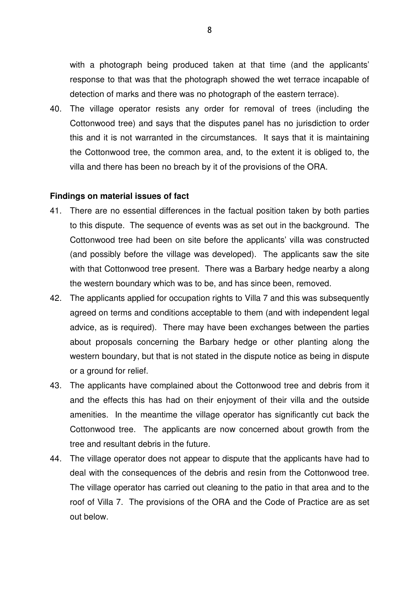with a photograph being produced taken at that time (and the applicants' response to that was that the photograph showed the wet terrace incapable of detection of marks and there was no photograph of the eastern terrace).

40. The village operator resists any order for removal of trees (including the Cottonwood tree) and says that the disputes panel has no jurisdiction to order this and it is not warranted in the circumstances. It says that it is maintaining the Cottonwood tree, the common area, and, to the extent it is obliged to, the villa and there has been no breach by it of the provisions of the ORA.

#### **Findings on material issues of fact**

- 41. There are no essential differences in the factual position taken by both parties to this dispute. The sequence of events was as set out in the background. The Cottonwood tree had been on site before the applicants' villa was constructed (and possibly before the village was developed). The applicants saw the site with that Cottonwood tree present. There was a Barbary hedge nearby a along the western boundary which was to be, and has since been, removed.
- 42. The applicants applied for occupation rights to Villa 7 and this was subsequently agreed on terms and conditions acceptable to them (and with independent legal advice, as is required). There may have been exchanges between the parties about proposals concerning the Barbary hedge or other planting along the western boundary, but that is not stated in the dispute notice as being in dispute or a ground for relief.
- 43. The applicants have complained about the Cottonwood tree and debris from it and the effects this has had on their enjoyment of their villa and the outside amenities. In the meantime the village operator has significantly cut back the Cottonwood tree. The applicants are now concerned about growth from the tree and resultant debris in the future.
- 44. The village operator does not appear to dispute that the applicants have had to deal with the consequences of the debris and resin from the Cottonwood tree. The village operator has carried out cleaning to the patio in that area and to the roof of Villa 7. The provisions of the ORA and the Code of Practice are as set out below.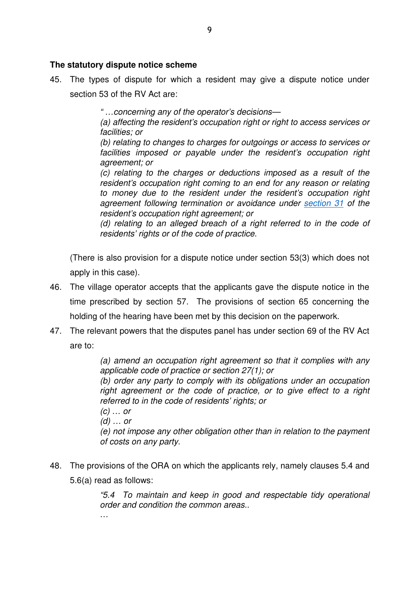## **The statutory dispute notice scheme**

45. The types of dispute for which a resident may give a dispute notice under section 53 of the RV Act are:

" …concerning any of the operator's decisions—

(a) affecting the resident's occupation right or right to access services or facilities; or

(b) relating to changes to charges for outgoings or access to services or facilities imposed or payable under the resident's occupation right agreement; or

(c) relating to the charges or deductions imposed as a result of the resident's occupation right coming to an end for any reason or relating to money due to the resident under the resident's occupation right agreement following termination or avoidance under section 31 of the resident's occupation right agreement; or

(d) relating to an alleged breach of a right referred to in the code of residents' rights or of the code of practice.

(There is also provision for a dispute notice under section 53(3) which does not apply in this case).

- 46. The village operator accepts that the applicants gave the dispute notice in the time prescribed by section 57. The provisions of section 65 concerning the holding of the hearing have been met by this decision on the paperwork.
- 47. The relevant powers that the disputes panel has under section 69 of the RV Act are to:

(a) amend an occupation right agreement so that it complies with any applicable code of practice or section 27(1); or

(b) order any party to comply with its obligations under an occupation right agreement or the code of practice, or to give effect to a right referred to in the code of residents' rights; or

 $(c)$  ... or

(d) … or

…

(e) not impose any other obligation other than in relation to the payment of costs on any party.

48. The provisions of the ORA on which the applicants rely, namely clauses 5.4 and 5.6(a) read as follows:

> "5.4 To maintain and keep in good and respectable tidy operational order and condition the common areas..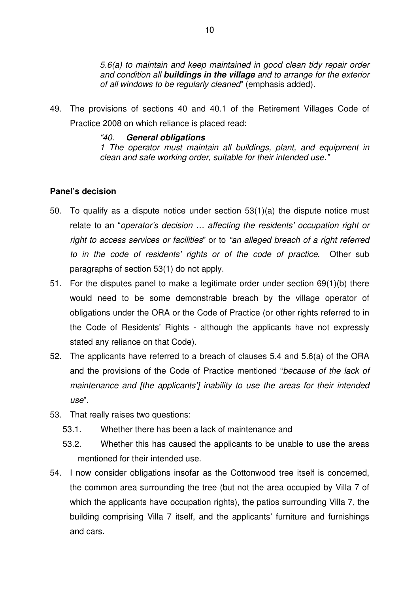5.6(a) to maintain and keep maintained in good clean tidy repair order and condition all **buildings in the village** and to arrange for the exterior of all windows to be regularly cleaned" (emphasis added).

49. The provisions of sections 40 and 40.1 of the Retirement Villages Code of Practice 2008 on which reliance is placed read:

#### "40. **General obligations**

1 The operator must maintain all buildings, plant, and equipment in clean and safe working order, suitable for their intended use."

## **Panel's decision**

- 50. To qualify as a dispute notice under section 53(1)(a) the dispute notice must relate to an "operator's decision … affecting the residents' occupation right or right to access services or facilities" or to "an alleged breach of a right referred to in the code of residents' rights or of the code of practice. Other sub paragraphs of section 53(1) do not apply.
- 51. For the disputes panel to make a legitimate order under section 69(1)(b) there would need to be some demonstrable breach by the village operator of obligations under the ORA or the Code of Practice (or other rights referred to in the Code of Residents' Rights - although the applicants have not expressly stated any reliance on that Code).
- 52. The applicants have referred to a breach of clauses 5.4 and 5.6(a) of the ORA and the provisions of the Code of Practice mentioned "because of the lack of maintenance and [the applicants'] inability to use the areas for their intended use".
- 53. That really raises two questions:
	- 53.1. Whether there has been a lack of maintenance and
	- 53.2. Whether this has caused the applicants to be unable to use the areas mentioned for their intended use.
- 54. I now consider obligations insofar as the Cottonwood tree itself is concerned, the common area surrounding the tree (but not the area occupied by Villa 7 of which the applicants have occupation rights), the patios surrounding Villa 7, the building comprising Villa 7 itself, and the applicants' furniture and furnishings and cars.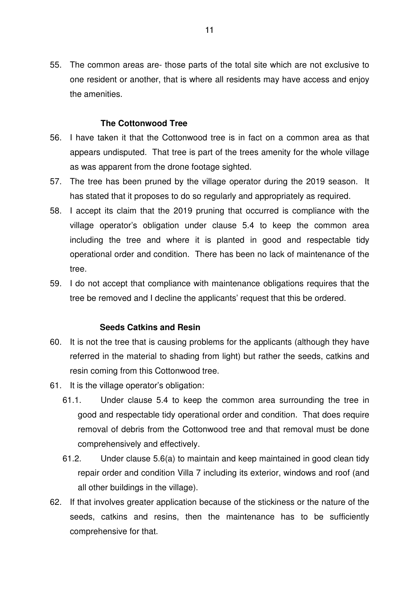55. The common areas are- those parts of the total site which are not exclusive to one resident or another, that is where all residents may have access and enjoy the amenities.

## **The Cottonwood Tree**

- 56. I have taken it that the Cottonwood tree is in fact on a common area as that appears undisputed. That tree is part of the trees amenity for the whole village as was apparent from the drone footage sighted.
- 57. The tree has been pruned by the village operator during the 2019 season. It has stated that it proposes to do so regularly and appropriately as required.
- 58. I accept its claim that the 2019 pruning that occurred is compliance with the village operator's obligation under clause 5.4 to keep the common area including the tree and where it is planted in good and respectable tidy operational order and condition. There has been no lack of maintenance of the tree.
- 59. I do not accept that compliance with maintenance obligations requires that the tree be removed and I decline the applicants' request that this be ordered.

## **Seeds Catkins and Resin**

- 60. It is not the tree that is causing problems for the applicants (although they have referred in the material to shading from light) but rather the seeds, catkins and resin coming from this Cottonwood tree.
- 61. It is the village operator's obligation:
	- 61.1. Under clause 5.4 to keep the common area surrounding the tree in good and respectable tidy operational order and condition. That does require removal of debris from the Cottonwood tree and that removal must be done comprehensively and effectively.
	- 61.2. Under clause 5.6(a) to maintain and keep maintained in good clean tidy repair order and condition Villa 7 including its exterior, windows and roof (and all other buildings in the village).
- 62. If that involves greater application because of the stickiness or the nature of the seeds, catkins and resins, then the maintenance has to be sufficiently comprehensive for that.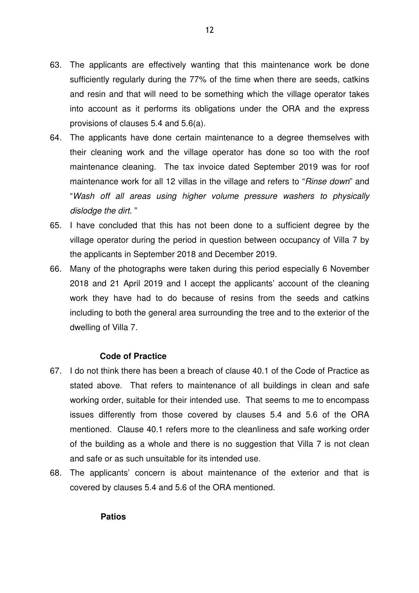- 63. The applicants are effectively wanting that this maintenance work be done sufficiently regularly during the 77% of the time when there are seeds, catkins and resin and that will need to be something which the village operator takes into account as it performs its obligations under the ORA and the express provisions of clauses 5.4 and 5.6(a).
- 64. The applicants have done certain maintenance to a degree themselves with their cleaning work and the village operator has done so too with the roof maintenance cleaning. The tax invoice dated September 2019 was for roof maintenance work for all 12 villas in the village and refers to "Rinse down" and "Wash off all areas using higher volume pressure washers to physically dislodge the dirt. "
- 65. I have concluded that this has not been done to a sufficient degree by the village operator during the period in question between occupancy of Villa 7 by the applicants in September 2018 and December 2019.
- 66. Many of the photographs were taken during this period especially 6 November 2018 and 21 April 2019 and I accept the applicants' account of the cleaning work they have had to do because of resins from the seeds and catkins including to both the general area surrounding the tree and to the exterior of the dwelling of Villa 7.

## **Code of Practice**

- 67. I do not think there has been a breach of clause 40.1 of the Code of Practice as stated above. That refers to maintenance of all buildings in clean and safe working order, suitable for their intended use. That seems to me to encompass issues differently from those covered by clauses 5.4 and 5.6 of the ORA mentioned. Clause 40.1 refers more to the cleanliness and safe working order of the building as a whole and there is no suggestion that Villa 7 is not clean and safe or as such unsuitable for its intended use.
- 68. The applicants' concern is about maintenance of the exterior and that is covered by clauses 5.4 and 5.6 of the ORA mentioned.

**Patios**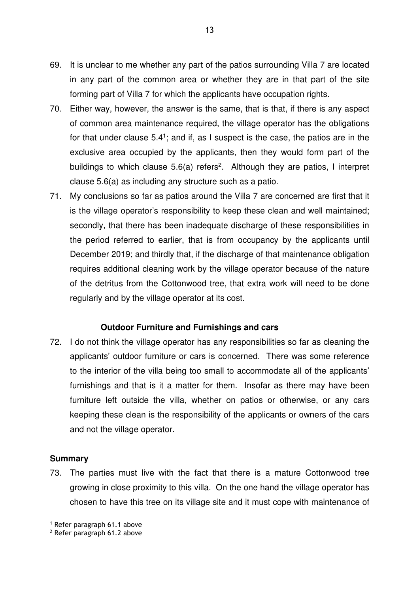- 69. It is unclear to me whether any part of the patios surrounding Villa 7 are located in any part of the common area or whether they are in that part of the site forming part of Villa 7 for which the applicants have occupation rights.
- 70. Either way, however, the answer is the same, that is that, if there is any aspect of common area maintenance required, the village operator has the obligations for that under clause  $5.4$ <sup>1</sup>; and if, as I suspect is the case, the patios are in the exclusive area occupied by the applicants, then they would form part of the buildings to which clause  $5.6(a)$  refers<sup>2</sup>. Although they are patios, I interpret clause 5.6(a) as including any structure such as a patio.
- 71. My conclusions so far as patios around the Villa 7 are concerned are first that it is the village operator's responsibility to keep these clean and well maintained; secondly, that there has been inadequate discharge of these responsibilities in the period referred to earlier, that is from occupancy by the applicants until December 2019; and thirdly that, if the discharge of that maintenance obligation requires additional cleaning work by the village operator because of the nature of the detritus from the Cottonwood tree, that extra work will need to be done regularly and by the village operator at its cost.

## **Outdoor Furniture and Furnishings and cars**

72. I do not think the village operator has any responsibilities so far as cleaning the applicants' outdoor furniture or cars is concerned. There was some reference to the interior of the villa being too small to accommodate all of the applicants' furnishings and that is it a matter for them. Insofar as there may have been furniture left outside the villa, whether on patios or otherwise, or any cars keeping these clean is the responsibility of the applicants or owners of the cars and not the village operator.

## **Summary**

73. The parties must live with the fact that there is a mature Cottonwood tree growing in close proximity to this villa. On the one hand the village operator has chosen to have this tree on its village site and it must cope with maintenance of

<sup>1</sup> Refer paragraph 61.1 above

<sup>2</sup> Refer paragraph 61.2 above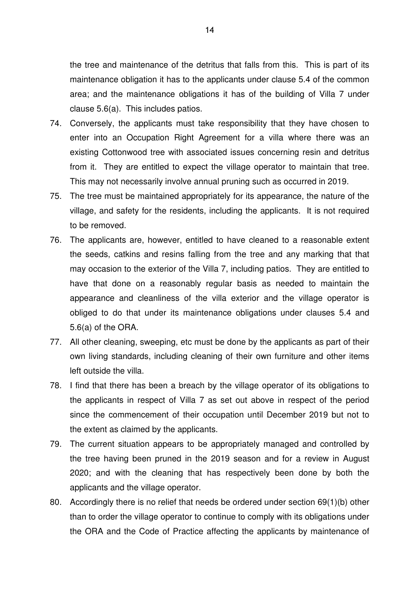the tree and maintenance of the detritus that falls from this. This is part of its maintenance obligation it has to the applicants under clause 5.4 of the common area; and the maintenance obligations it has of the building of Villa 7 under clause 5.6(a). This includes patios.

- 74. Conversely, the applicants must take responsibility that they have chosen to enter into an Occupation Right Agreement for a villa where there was an existing Cottonwood tree with associated issues concerning resin and detritus from it. They are entitled to expect the village operator to maintain that tree. This may not necessarily involve annual pruning such as occurred in 2019.
- 75. The tree must be maintained appropriately for its appearance, the nature of the village, and safety for the residents, including the applicants. It is not required to be removed.
- 76. The applicants are, however, entitled to have cleaned to a reasonable extent the seeds, catkins and resins falling from the tree and any marking that that may occasion to the exterior of the Villa 7, including patios. They are entitled to have that done on a reasonably regular basis as needed to maintain the appearance and cleanliness of the villa exterior and the village operator is obliged to do that under its maintenance obligations under clauses 5.4 and 5.6(a) of the ORA.
- 77. All other cleaning, sweeping, etc must be done by the applicants as part of their own living standards, including cleaning of their own furniture and other items left outside the villa.
- 78. I find that there has been a breach by the village operator of its obligations to the applicants in respect of Villa 7 as set out above in respect of the period since the commencement of their occupation until December 2019 but not to the extent as claimed by the applicants.
- 79. The current situation appears to be appropriately managed and controlled by the tree having been pruned in the 2019 season and for a review in August 2020; and with the cleaning that has respectively been done by both the applicants and the village operator.
- 80. Accordingly there is no relief that needs be ordered under section 69(1)(b) other than to order the village operator to continue to comply with its obligations under the ORA and the Code of Practice affecting the applicants by maintenance of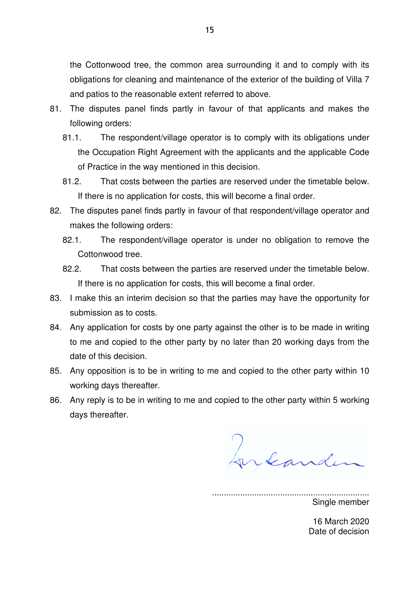the Cottonwood tree, the common area surrounding it and to comply with its obligations for cleaning and maintenance of the exterior of the building of Villa 7 and patios to the reasonable extent referred to above.

- 81. The disputes panel finds partly in favour of that applicants and makes the following orders:
	- 81.1. The respondent/village operator is to comply with its obligations under the Occupation Right Agreement with the applicants and the applicable Code of Practice in the way mentioned in this decision.
	- 81.2. That costs between the parties are reserved under the timetable below. If there is no application for costs, this will become a final order.
- 82. The disputes panel finds partly in favour of that respondent/village operator and makes the following orders:
	- 82.1. The respondent/village operator is under no obligation to remove the Cottonwood tree.
	- 82.2. That costs between the parties are reserved under the timetable below. If there is no application for costs, this will become a final order.
- 83. I make this an interim decision so that the parties may have the opportunity for submission as to costs.
- 84. Any application for costs by one party against the other is to be made in writing to me and copied to the other party by no later than 20 working days from the date of this decision.
- 85. Any opposition is to be in writing to me and copied to the other party within 10 working days thereafter.
- 86. Any reply is to be in writing to me and copied to the other party within 5 working days thereafter.

Jukander

................................................................... Single member

> 16 March 2020 Date of decision